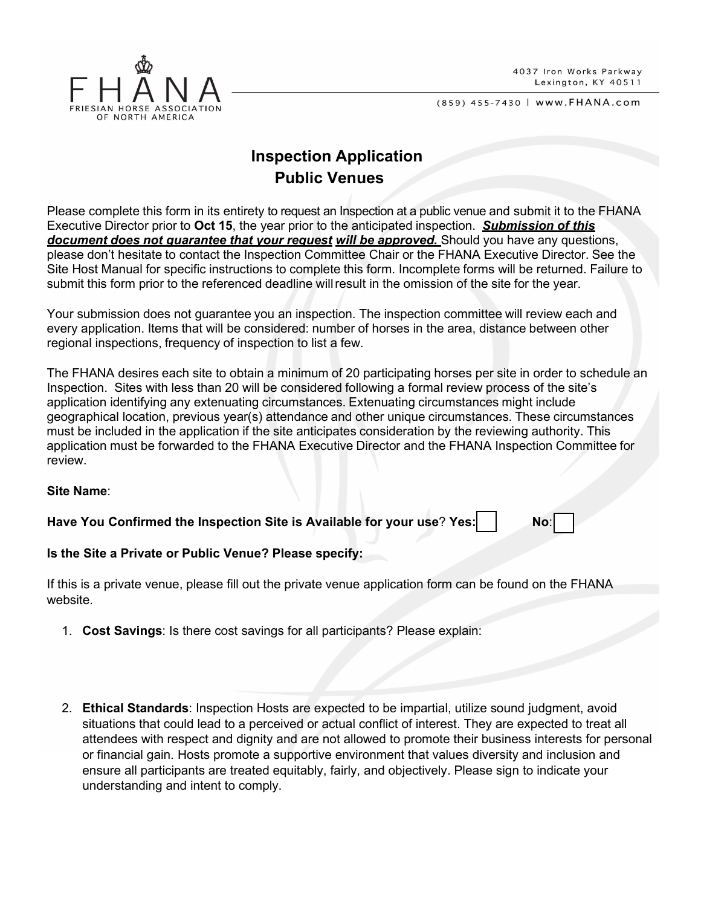

(859) 455-7430 | www.FHANA.com

## **Inspection Application Public Venues**

Please complete this form in its entirety to request an Inspection at a public venue and submit it to the FHANA Executive Director prior to **Oct 15**, the year prior to the anticipated inspection. *Submission of this document does not guarantee that your request will be approved.* Should you have any questions, please don't hesitate to contact the Inspection Committee Chair or the FHANA Executive Director. See the Site Host Manual for specific instructions to complete this form. Incomplete forms will be returned. Failure to submit this form prior to the referenced deadline willresult in the omission of the site for the year.

Your submission does not guarantee you an inspection. The inspection committee will review each and every application. Items that will be considered: number of horses in the area, distance between other regional inspections, frequency of inspection to list a few.

The FHANA desires each site to obtain a minimum of 20 participating horses per site in order to schedule an Inspection. Sites with less than 20 will be considered following a formal review process of the site's application identifying any extenuating circumstances. Extenuating circumstances might include geographical location, previous year(s) attendance and other unique circumstances. These circumstances must be included in the application if the site anticipates consideration by the reviewing authority. This application must be forwarded to the FHANA Executive Director and the FHANA Inspection Committee for review.

## **Site Name**:

**Have You Confirmed the Inspection Site is Available for your use? Yes: No:** No:

## **Is the Site a Private or Public Venue? Please specify:**

If this is a private venue, please fill out the private venue application form can be found on the FHANA website.

- 1. **Cost Savings**: Is there cost savings for all participants? Please explain:
- 2. **Ethical Standards**: Inspection Hosts are expected to be impartial, utilize sound judgment, avoid situations that could lead to a perceived or actual conflict of interest. They are expected to treat all attendees with respect and dignity and are not allowed to promote their business interests for personal or financial gain. Hosts promote a supportive environment that values diversity and inclusion and ensure all participants are treated equitably, fairly, and objectively. Please sign to indicate your understanding and intent to comply.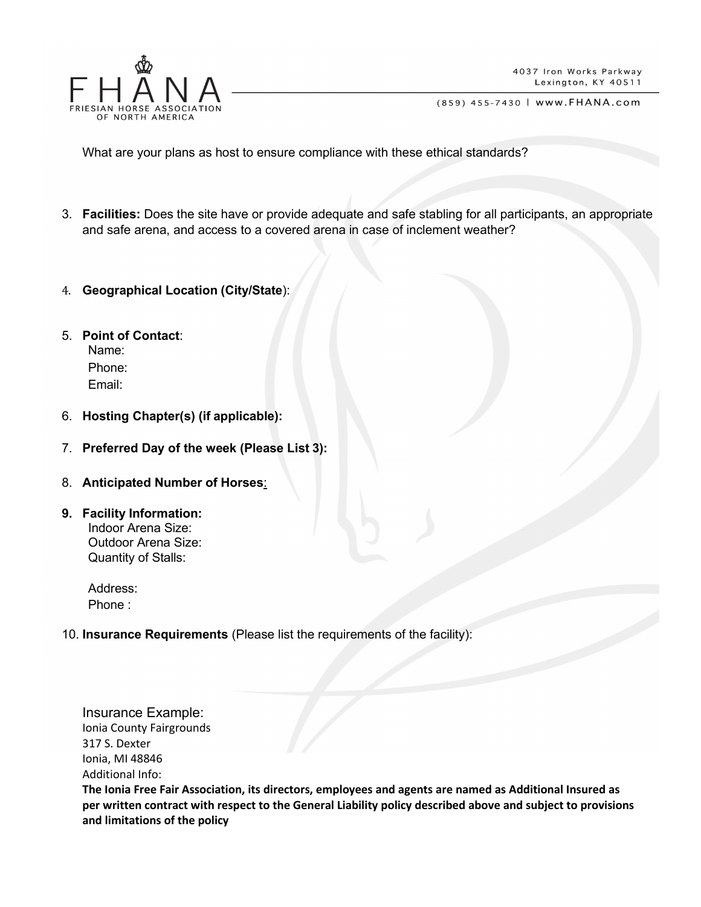

(859) 455-7430 | www.FHANA.com

What are your plans as host to ensure compliance with these ethical standards?

- 3. **Facilities:** Does the site have or provide adequate and safe stabling for all participants, an appropriate and safe arena, and access to a covered arena in case of inclement weather?
- 4. **Geographical Location (City/State**):
- 5. **Point of Contact**: Name: Phone: Email:
- 6. **Hosting Chapter(s) (if applicable):**
- 7. **Preferred Day of the week (Please List 3):**
- 8. **Anticipated Number of Horses**:
- **9. Facility Information:** Indoor Arena Size: Outdoor Arena Size: Quantity of Stalls:
	- Address: Phone :
- 10. **Insurance Requirements** (Please list the requirements of the facility):

Insurance Example: Ionia County Fairgrounds 317 S. Dexter Ionia, MI 48846 Additional Info:

**The Ionia Free Fair Association, its directors, employees and agents are named as Additional Insured as per written contract with respect to the General Liability policy described above and subject to provisions and limitations of the policy**